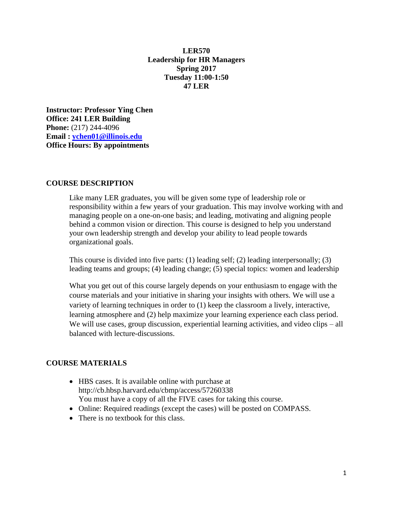### **LER570 Leadership for HR Managers Spring 2017 Tuesday 11:00-1:50 47 LER**

**Instructor: Professor Ying Chen Office: 241 LER Building Phone:** (217) 244-4096 **Email : [ychen01@illinois.edu](mailto:ychen01@illinois.edu) Office Hours: By appointments**

#### **COURSE DESCRIPTION**

Like many LER graduates, you will be given some type of leadership role or responsibility within a few years of your graduation. This may involve working with and managing people on a one-on-one basis; and leading, motivating and aligning people behind a common vision or direction. This course is designed to help you understand your own leadership strength and develop your ability to lead people towards organizational goals.

This course is divided into five parts: (1) leading self; (2) leading interpersonally; (3) leading teams and groups; (4) leading change; (5) special topics: women and leadership

What you get out of this course largely depends on your enthusiasm to engage with the course materials and your initiative in sharing your insights with others. We will use a variety of learning techniques in order to (1) keep the classroom a lively, interactive, learning atmosphere and (2) help maximize your learning experience each class period. We will use cases, group discussion, experiential learning activities, and video clips – all balanced with lecture-discussions.

#### **COURSE MATERIALS**

- HBS cases. It is available online with purchase at http://cb.hbsp.harvard.edu/cbmp/access/57260338 You must have a copy of all the FIVE cases for taking this course.
- Online: Required readings (except the cases) will be posted on COMPASS*.*
- There is no textbook for this class.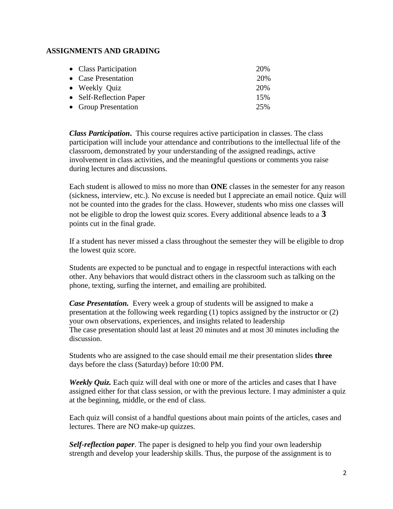### **ASSIGNMENTS AND GRADING**

| • Class Participation   | 20% |
|-------------------------|-----|
| • Case Presentation     | 20% |
| • Weekly Quiz           | 20% |
| • Self-Reflection Paper | 15% |
| • Group Presentation    | 25% |

*Class Participation***.** This course requires active participation in classes. The class participation will include your attendance and contributions to the intellectual life of the classroom, demonstrated by your understanding of the assigned readings, active involvement in class activities, and the meaningful questions or comments you raise during lectures and discussions.

Each student is allowed to miss no more than **ONE** classes in the semester for any reason (sickness, interview, etc.). No excuse is needed but I appreciate an email notice. Quiz will not be counted into the grades for the class. However, students who miss one classes will not be eligible to drop the lowest quiz scores. Every additional absence leads to a **3** points cut in the final grade.

If a student has never missed a class throughout the semester they will be eligible to drop the lowest quiz score.

Students are expected to be punctual and to engage in respectful interactions with each other. Any behaviors that would distract others in the classroom such as talking on the phone, texting, surfing the internet, and emailing are prohibited.

*Case Presentation.* Every week a group of students will be assigned to make a presentation at the following week regarding (1) topics assigned by the instructor or (2) your own observations, experiences, and insights related to leadership The case presentation should last at least 20 minutes and at most 30 minutes including the discussion.

Students who are assigned to the case should email me their presentation slides **three** days before the class (Saturday) before 10:00 PM.

*Weekly Quiz.* Each quiz will deal with one or more of the articles and cases that I have assigned either for that class session, or with the previous lecture. I may administer a quiz at the beginning, middle, or the end of class.

Each quiz will consist of a handful questions about main points of the articles, cases and lectures. There are NO make-up quizzes.

*Self-reflection paper*. The paper is designed to help you find your own leadership strength and develop your leadership skills. Thus, the purpose of the assignment is to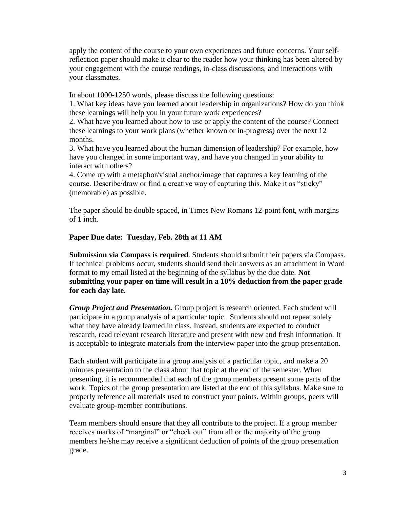apply the content of the course to your own experiences and future concerns. Your selfreflection paper should make it clear to the reader how your thinking has been altered by your engagement with the course readings, in-class discussions, and interactions with your classmates.

In about 1000-1250 words, please discuss the following questions:

1. What key ideas have you learned about leadership in organizations? How do you think these learnings will help you in your future work experiences?

2. What have you learned about how to use or apply the content of the course? Connect these learnings to your work plans (whether known or in-progress) over the next 12 months.

3. What have you learned about the human dimension of leadership? For example, how have you changed in some important way, and have you changed in your ability to interact with others?

4. Come up with a metaphor/visual anchor/image that captures a key learning of the course. Describe/draw or find a creative way of capturing this. Make it as "sticky" (memorable) as possible.

The paper should be double spaced, in Times New Romans 12-point font, with margins of 1 inch.

### **Paper Due date: Tuesday, Feb. 28th at 11 AM**

**Submission via Compass is required**. Students should submit their papers via Compass. If technical problems occur, students should send their answers as an attachment in Word format to my email listed at the beginning of the syllabus by the due date. **Not submitting your paper on time will result in a 10% deduction from the paper grade for each day late.** 

*Group Project and Presentation.* Group project is research oriented. Each student will participate in a group analysis of a particular topic. Students should not repeat solely what they have already learned in class. Instead, students are expected to conduct research, read relevant research literature and present with new and fresh information. It is acceptable to integrate materials from the interview paper into the group presentation.

Each student will participate in a group analysis of a particular topic, and make a 20 minutes presentation to the class about that topic at the end of the semester. When presenting, it is recommended that each of the group members present some parts of the work. Topics of the group presentation are listed at the end of this syllabus. Make sure to properly reference all materials used to construct your points. Within groups, peers will evaluate group-member contributions.

Team members should ensure that they all contribute to the project. If a group member receives marks of "marginal" or "check out" from all or the majority of the group members he/she may receive a significant deduction of points of the group presentation grade.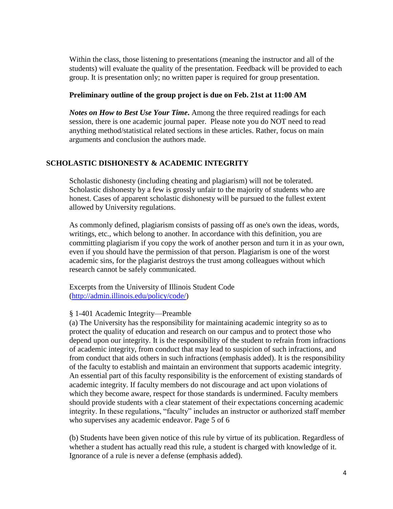Within the class, those listening to presentations (meaning the instructor and all of the students) will evaluate the quality of the presentation. Feedback will be provided to each group. It is presentation only; no written paper is required for group presentation.

#### **Preliminary outline of the group project is due on Feb. 21st at 11:00 AM**

*Notes on How to Best Use Your Time***.** Among the three required readings for each session, there is one academic journal paper. Please note you do NOT need to read anything method/statistical related sections in these articles. Rather, focus on main arguments and conclusion the authors made.

### **SCHOLASTIC DISHONESTY & ACADEMIC INTEGRITY**

Scholastic dishonesty (including cheating and plagiarism) will not be tolerated. Scholastic dishonesty by a few is grossly unfair to the majority of students who are honest. Cases of apparent scholastic dishonesty will be pursued to the fullest extent allowed by University regulations.

As commonly defined, plagiarism consists of passing off as one's own the ideas, words, writings, etc., which belong to another. In accordance with this definition, you are committing plagiarism if you copy the work of another person and turn it in as your own, even if you should have the permission of that person. Plagiarism is one of the worst academic sins, for the plagiarist destroys the trust among colleagues without which research cannot be safely communicated.

Excerpts from the University of Illinois Student Code [\(http://admin.illinois.edu/policy/code/\)](http://admin.illinois.edu/policy/code/)

#### § 1-401 Academic Integrity—Preamble

(a) The University has the responsibility for maintaining academic integrity so as to protect the quality of education and research on our campus and to protect those who depend upon our integrity. It is the responsibility of the student to refrain from infractions of academic integrity, from conduct that may lead to suspicion of such infractions, and from conduct that aids others in such infractions (emphasis added). It is the responsibility of the faculty to establish and maintain an environment that supports academic integrity. An essential part of this faculty responsibility is the enforcement of existing standards of academic integrity. If faculty members do not discourage and act upon violations of which they become aware, respect for those standards is undermined. Faculty members should provide students with a clear statement of their expectations concerning academic integrity. In these regulations, "faculty" includes an instructor or authorized staff member who supervises any academic endeavor. Page 5 of 6

(b) Students have been given notice of this rule by virtue of its publication. Regardless of whether a student has actually read this rule, a student is charged with knowledge of it. Ignorance of a rule is never a defense (emphasis added).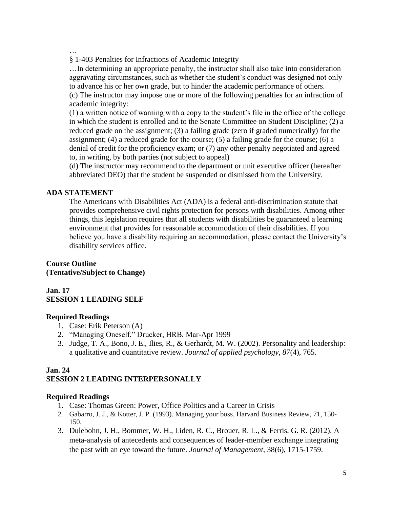…

§ 1-403 Penalties for Infractions of Academic Integrity

…In determining an appropriate penalty, the instructor shall also take into consideration aggravating circumstances, such as whether the student's conduct was designed not only to advance his or her own grade, but to hinder the academic performance of others. (c) The instructor may impose one or more of the following penalties for an infraction of academic integrity:

(1) a written notice of warning with a copy to the student's file in the office of the college in which the student is enrolled and to the Senate Committee on Student Discipline; (2) a reduced grade on the assignment; (3) a failing grade (zero if graded numerically) for the assignment; (4) a reduced grade for the course; (5) a failing grade for the course; (6) a denial of credit for the proficiency exam; or (7) any other penalty negotiated and agreed to, in writing, by both parties (not subject to appeal)

(d) The instructor may recommend to the department or unit executive officer (hereafter abbreviated DEO) that the student be suspended or dismissed from the University.

### **ADA STATEMENT**

The Americans with Disabilities Act (ADA) is a federal anti-discrimination statute that provides comprehensive civil rights protection for persons with disabilities. Among other things, this legislation requires that all students with disabilities be guaranteed a learning environment that provides for reasonable accommodation of their disabilities. If you believe you have a disability requiring an accommodation, please contact the University's disability services office.

## **Course Outline (Tentative/Subject to Change)**

#### **Jan. 17 SESSION 1 LEADING SELF**

#### **Required Readings**

- 1. Case: Erik Peterson (A)
- 2. "Managing Oneself," Drucker, HRB, Mar-Apr 1999
- 3. Judge, T. A., Bono, J. E., Ilies, R., & Gerhardt, M. W. (2002). Personality and leadership: a qualitative and quantitative review. *Journal of applied psychology*, *87*(4), 765.

### **Jan. 24 SESSION 2 LEADING INTERPERSONALLY**

### **Required Readings**

- 1. Case: Thomas Green: Power, Office Politics and a Career in Crisis
- 2. Gabarro, J. J., & Kotter, J. P. (1993). Managing your boss. Harvard Business Review, 71, 150- 150.
- 3. Dulebohn, J. H., Bommer, W. H., Liden, R. C., Brouer, R. L., & Ferris, G. R. (2012). A meta-analysis of antecedents and consequences of leader-member exchange integrating the past with an eye toward the future. *Journal of Management*, 38(6), 1715-1759.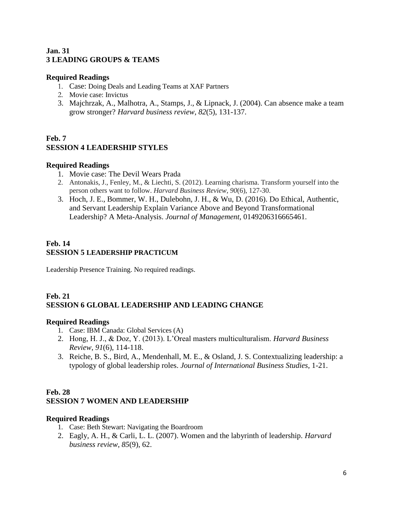### **Jan. 31 3 LEADING GROUPS & TEAMS**

### **Required Readings**

- 1. Case: Doing Deals and Leading Teams at XAF Partners
- 2. Movie case: Invictus
- 3. Majchrzak, A., Malhotra, A., Stamps, J., & Lipnack, J. (2004). Can absence make a team grow stronger? *Harvard business review*, *82*(5), 131-137.

## **Feb. 7 SESSION 4 LEADERSHIP STYLES**

#### **Required Readings**

- 1. Movie case: The Devil Wears Prada
- 2. Antonakis, J., Fenley, M., & Liechti, S. (2012). Learning charisma. Transform yourself into the person others want to follow. *Harvard Business Review*, *90*(6), 127-30.
- 3. Hoch, J. E., Bommer, W. H., Dulebohn, J. H., & Wu, D. (2016). Do Ethical, Authentic, and Servant Leadership Explain Variance Above and Beyond Transformational Leadership? A Meta-Analysis. *Journal of Management*, 0149206316665461.

### **Feb. 14 SESSION 5 LEADERSHIP PRACTICUM**

Leadership Presence Training. No required readings.

## **Feb. 21 SESSION 6 GLOBAL LEADERSHIP AND LEADING CHANGE**

### **Required Readings**

- 1. Case: IBM Canada: Global Services (A)
- 2. Hong, H. J., & Doz, Y. (2013). L'Oreal masters multiculturalism. *Harvard Business Review*, *91*(6), 114-118.
- 3. Reiche, B. S., Bird, A., Mendenhall, M. E., & Osland, J. S. Contextualizing leadership: a typology of global leadership roles. *Journal of International Business Studies*, 1-21.

### **Feb. 28 SESSION 7 WOMEN AND LEADERSHIP**

### **Required Readings**

- 1. Case: Beth Stewart: Navigating the Boardroom
- 2. Eagly, A. H., & Carli, L. L. (2007). Women and the labyrinth of leadership. *Harvard business review*, *85*(9), 62.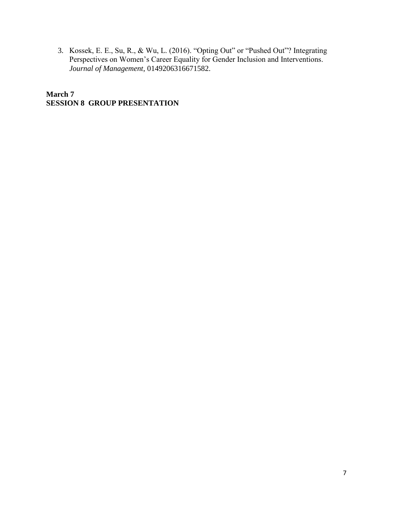3. Kossek, E. E., Su, R., & Wu, L. (2016). "Opting Out" or "Pushed Out"? Integrating Perspectives on Women's Career Equality for Gender Inclusion and Interventions. *Journal of Management*, 0149206316671582.

**March 7 SESSION 8 GROUP PRESENTATION**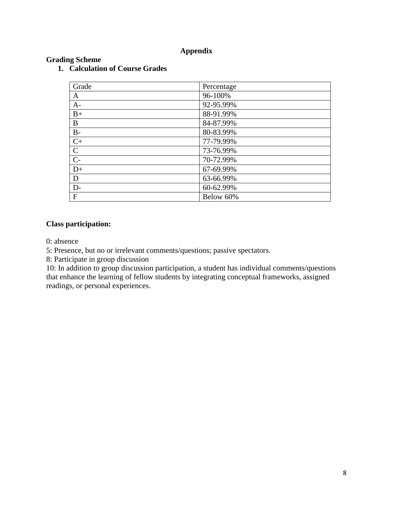### **Appendix**

| Grade        | Percentage |
|--------------|------------|
| A            | 96-100%    |
| $A-$         | 92-95.99%  |
| $B+$         | 88-91.99%  |
| B            | 84-87.99%  |
| $B-$         | 80-83.99%  |
| $C+$         | 77-79.99%  |
| $\mathbf C$  | 73-76.99%  |
| $C-$         | 70-72.99%  |
| $D+$         | 67-69.99%  |
| D            | 63-66.99%  |
| $D-$         | 60-62.99%  |
| $\mathbf{F}$ | Below 60%  |

# **1. Calculation of Course Grades**

# **Class participation:**

**Grading Scheme**

0: absence

5: Presence, but no or irrelevant comments/questions; passive spectators.

8: Participate in group discussion

10: In addition to group discussion participation, a student has individual comments/questions that enhance the learning of fellow students by integrating conceptual frameworks, assigned readings, or personal experiences.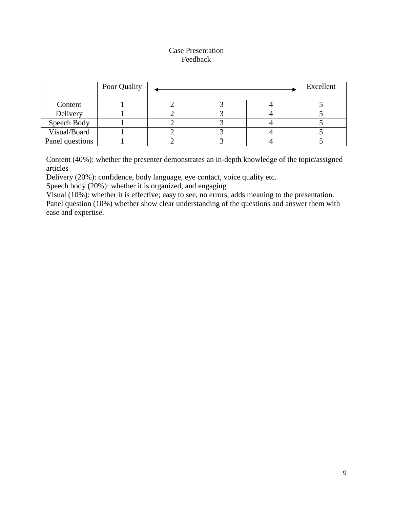### Case Presentation Feedback

|                 | Poor Quality |  |  |  | Excellent |
|-----------------|--------------|--|--|--|-----------|
| Content         |              |  |  |  |           |
| Delivery        |              |  |  |  |           |
| Speech Body     |              |  |  |  |           |
| Visual/Board    |              |  |  |  |           |
| Panel questions |              |  |  |  |           |

Content (40%): whether the presenter demonstrates an in-depth knowledge of the topic/assigned articles

Delivery (20%): confidence, body language, eye contact, voice quality etc.

Speech body (20%): whether it is organized, and engaging

Visual (10%): whether it is effective; easy to see, no errors, adds meaning to the presentation. Panel question (10%) whether show clear understanding of the questions and answer them with ease and expertise.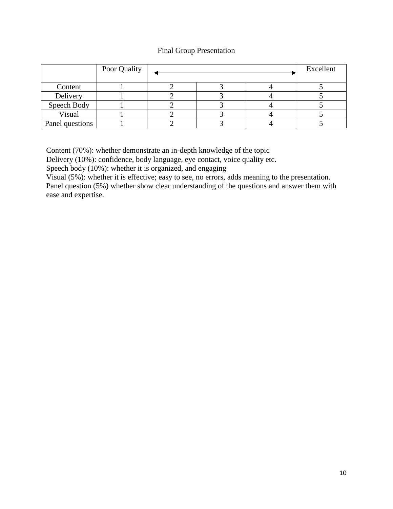### Final Group Presentation

|                 | Poor Quality |  |  |  | Excellent |
|-----------------|--------------|--|--|--|-----------|
|                 |              |  |  |  |           |
| Content         |              |  |  |  |           |
| Delivery        |              |  |  |  |           |
| Speech Body     |              |  |  |  |           |
| Visual          |              |  |  |  |           |
| Panel questions |              |  |  |  |           |

Content (70%): whether demonstrate an in-depth knowledge of the topic

Delivery (10%): confidence, body language, eye contact, voice quality etc.

Speech body (10%): whether it is organized, and engaging

Visual (5%): whether it is effective; easy to see, no errors, adds meaning to the presentation. Panel question (5%) whether show clear understanding of the questions and answer them with ease and expertise.